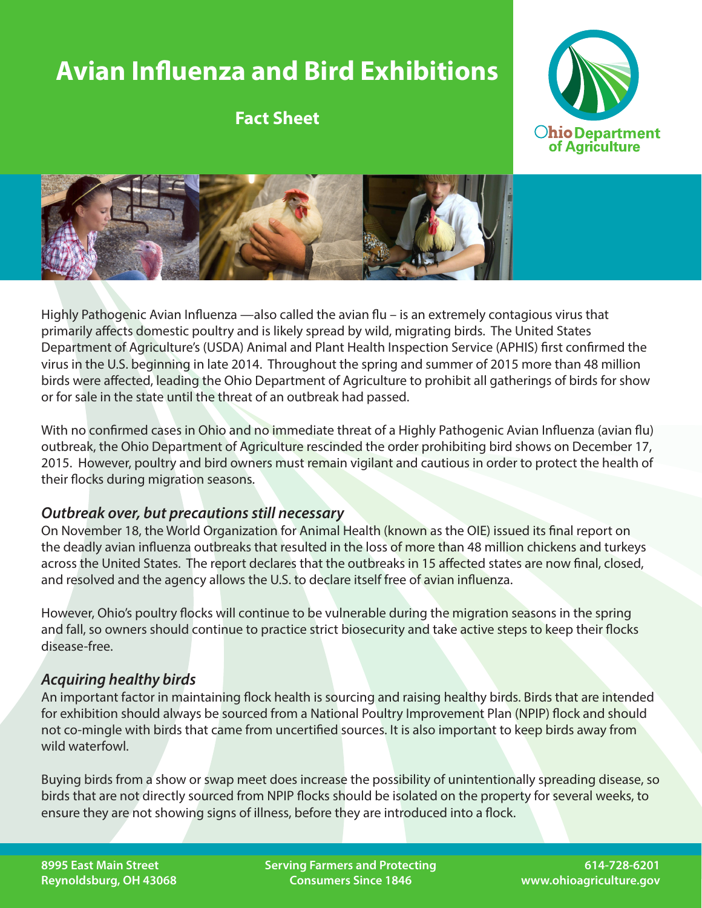# **Avian Influenza and Bird Exhibitions**

**Fact Sheet**





Highly Pathogenic Avian Influenza —also called the avian flu – is an extremely contagious virus that primarily affects domestic poultry and is likely spread by wild, migrating birds. The United States Department of Agriculture's (USDA) Animal and Plant Health Inspection Service (APHIS) first confirmed the virus in the U.S. beginning in late 2014. Throughout the spring and summer of 2015 more than 48 million birds were affected, leading the Ohio Department of Agriculture to prohibit all gatherings of birds for show or for sale in the state until the threat of an outbreak had passed.

With no confirmed cases in Ohio and no immediate threat of a Highly Pathogenic Avian Influenza (avian flu) outbreak, the Ohio Department of Agriculture rescinded the order prohibiting bird shows on December 17, 2015. However, poultry and bird owners must remain vigilant and cautious in order to protect the health of their flocks during migration seasons.

#### *Outbreak over, but precautions still necessary*

On November 18, the World Organization for Animal Health (known as the OIE) issued its final report on the deadly avian influenza outbreaks that resulted in the loss of more than 48 million chickens and turkeys across the United States. The report declares that the outbreaks in 15 affected states are now final, closed, and resolved and the agency allows the U.S. to declare itself free of avian influenza.

However, Ohio's poultry flocks will continue to be vulnerable during the migration seasons in the spring and fall, so owners should continue to practice strict biosecurity and take active steps to keep their flocks disease-free.

### *Acquiring healthy birds*

An important factor in maintaining flock health is sourcing and raising healthy birds. Birds that are intended for exhibition should always be sourced from a National Poultry Improvement Plan (NPIP) flock and should not co-mingle with birds that came from uncertified sources. It is also important to keep birds away from wild waterfowl.

Buying birds from a show or swap meet does increase the possibility of unintentionally spreading disease, so birds that are not directly sourced from NPIP flocks should be isolated on the property for several weeks, to ensure they are not showing signs of illness, before they are introduced into a flock.

**Serving Farmers and Protecting Consumers Since 1846**